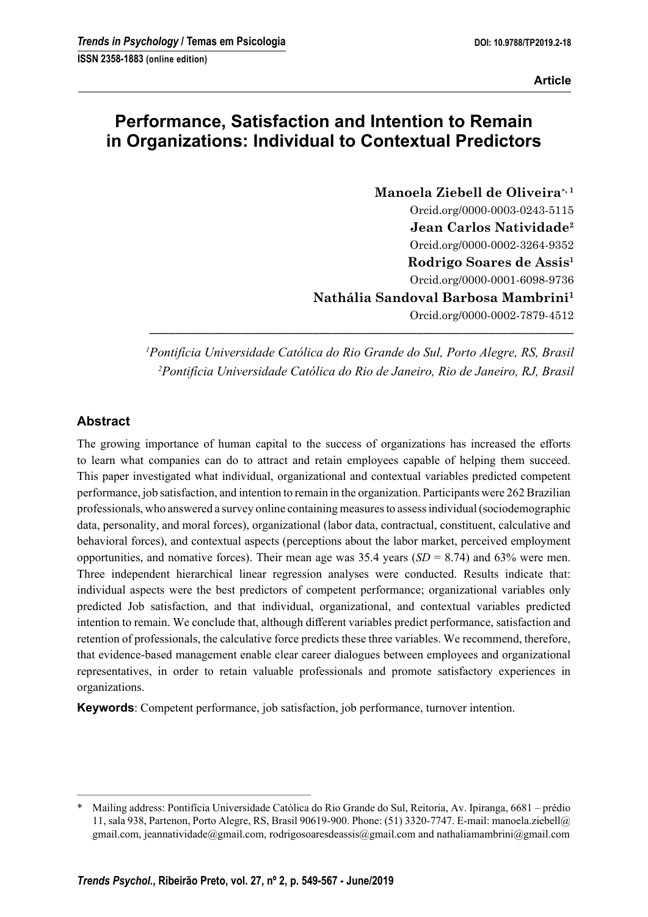# **Performance, Satisfaction and Intention to Remain in Organizations: Individual to Contextual Predictors**

**Manoela Ziebell de Oliveira**<sup>∗</sup>**, 1** Orcid.org/0000-0003-0243-5115 **Jean Carlos Natividade<sup>2</sup>** Orcid.org/0000-0002-3264-9352 **Rodrigo Soares de Assis<sup>1</sup>** Orcid.org/0000-0001-6098-9736 **Nathália Sandoval Barbosa Mambrini<sup>1</sup>** Orcid.org/0000-0002-7879-4512

*<sup>1</sup>Pontifícia Universidade Católica do Rio Grande do Sul, Porto Alegre, RS, Brasil <sup>2</sup>Pontifícia Universidade Católica do Rio de Janeiro, Rio de Janeiro, RJ, Brasil*

**–––––––––––––––––––––––––––––––––––––––––––––––––––––––––––––––––**

# **Abstract**

The growing importance of human capital to the success of organizations has increased the efforts to learn what companies can do to attract and retain employees capable of helping them succeed. This paper investigated what individual, organizational and contextual variables predicted competent performance, job satisfaction, and intention to remain in the organization. Participants were 262 Brazilian professionals, who answered a survey online containing measures to assess individual (sociodemographic data, personality, and moral forces), organizational (labor data, contractual, constituent, calculative and behavioral forces), and contextual aspects (perceptions about the labor market, perceived employment opportunities, and nomative forces). Their mean age was 35.4 years  $(SD = 8.74)$  and 63% were men. Three independent hierarchical linear regression analyses were conducted. Results indicate that: individual aspects were the best predictors of competent performance; organizational variables only predicted Job satisfaction, and that individual, organizational, and contextual variables predicted intention to remain. We conclude that, although different variables predict performance, satisfaction and retention of professionals, the calculative force predicts these three variables. We recommend, therefore, that evidence-based management enable clear career dialogues between employees and organizational representatives, in order to retain valuable professionals and promote satisfactory experiences in organizations.

**Keywords**: Competent performance, job satisfaction, job performance, turnover intention.

–––––––––––––––––––––––––––––––––––––––––––

<sup>\*</sup> Mailing address: Pontifícia Universidade Católica do Rio Grande do Sul, Reitoria, Av. Ipiranga, 6681 – prédio 11, sala 938, Partenon, Porto Alegre, RS, Brasil 90619-900. Phone: (51) 3320-7747. E-mail: manoela.ziebell@ gmail.com, jeannatividade@gmail.com, rodrigosoaresdeassis@gmail.com and nathaliamambrini@gmail.com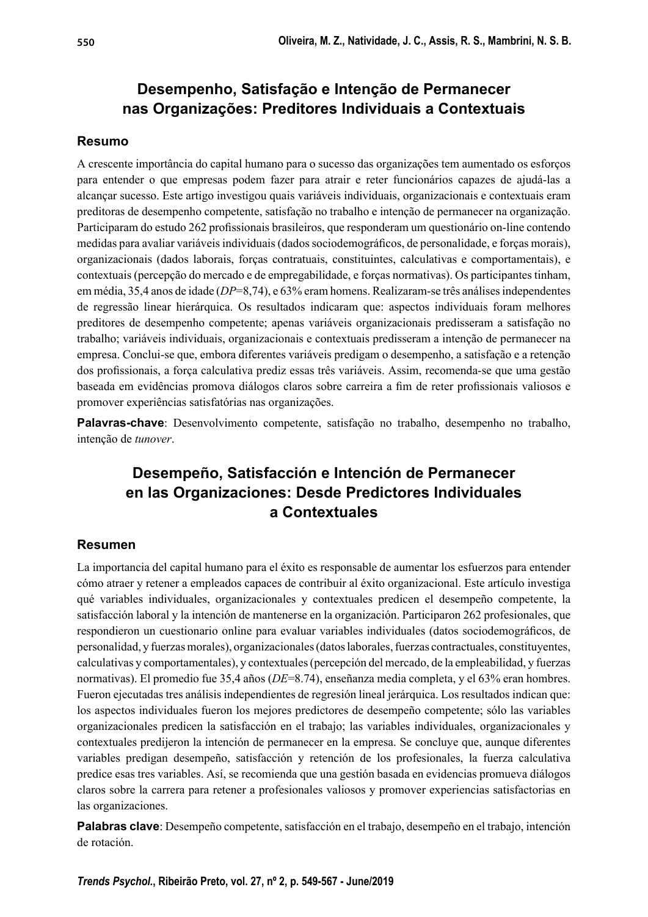# **Desempenho, Satisfação e Intenção de Permanecer nas Organizações: Preditores Individuais a Contextuais**

## **Resumo**

A crescente importância do capital humano para o sucesso das organizações tem aumentado os esforços para entender o que empresas podem fazer para atrair e reter funcionários capazes de ajudá-las a alcançar sucesso. Este artigo investigou quais variáveis individuais, organizacionais e contextuais eram preditoras de desempenho competente, satisfação no trabalho e intenção de permanecer na organização. Participaram do estudo 262 profissionais brasileiros, que responderam um questionário on-line contendo medidas para avaliar variáveis individuais (dados sociodemográficos, de personalidade, e forças morais), organizacionais (dados laborais, forças contratuais, constituintes, calculativas e comportamentais), e contextuais (percepção do mercado e de empregabilidade, e forças normativas). Os participantes tinham, em média, 35,4 anos de idade (*DP*=8,74), e 63% eram homens. Realizaram-se três análises independentes de regressão linear hierárquica. Os resultados indicaram que: aspectos individuais foram melhores preditores de desempenho competente; apenas variáveis organizacionais predisseram a satisfação no trabalho; variáveis individuais, organizacionais e contextuais predisseram a intenção de permanecer na empresa. Conclui-se que, embora diferentes variáveis predigam o desempenho, a satisfação e a retenção dos profissionais, a força calculativa prediz essas três variáveis. Assim, recomenda-se que uma gestão baseada em evidências promova diálogos claros sobre carreira a fim de reter profissionais valiosos e promover experiências satisfatórias nas organizações.

**Palavras-chave**: Desenvolvimento competente, satisfação no trabalho, desempenho no trabalho, intenção de *tunover*.

# **Desempeño, Satisfacción e Intención de Permanecer en las Organizaciones: Desde Predictores Individuales a Contextuales**

# **Resumen**

La importancia del capital humano para el éxito es responsable de aumentar los esfuerzos para entender cómo atraer y retener a empleados capaces de contribuir al éxito organizacional. Este artículo investiga qué variables individuales, organizacionales y contextuales predicen el desempeño competente, la satisfacción laboral y la intención de mantenerse en la organización. Participaron 262 profesionales, que respondieron un cuestionario online para evaluar variables individuales (datos sociodemográficos, de personalidad, y fuerzas morales), organizacionales (datos laborales, fuerzas contractuales, constituyentes, calculativas y comportamentales), y contextuales (percepción del mercado, de la empleabilidad, y fuerzas normativas). El promedio fue 35,4 años (*DE*=8.74), enseñanza media completa, y el 63% eran hombres. Fueron ejecutadas tres análisis independientes de regresión lineal jerárquica. Los resultados indican que: los aspectos individuales fueron los mejores predictores de desempeño competente; sólo las variables organizacionales predicen la satisfacción en el trabajo; las variables individuales, organizacionales y contextuales predijeron la intención de permanecer en la empresa. Se concluye que, aunque diferentes variables predigan desempeño, satisfacción y retención de los profesionales, la fuerza calculativa predice esas tres variables. Así, se recomienda que una gestión basada en evidencias promueva diálogos claros sobre la carrera para retener a profesionales valiosos y promover experiencias satisfactorias en las organizaciones.

**Palabras clave**: Desempeño competente, satisfacción en el trabajo, desempeño en el trabajo, intención de rotación.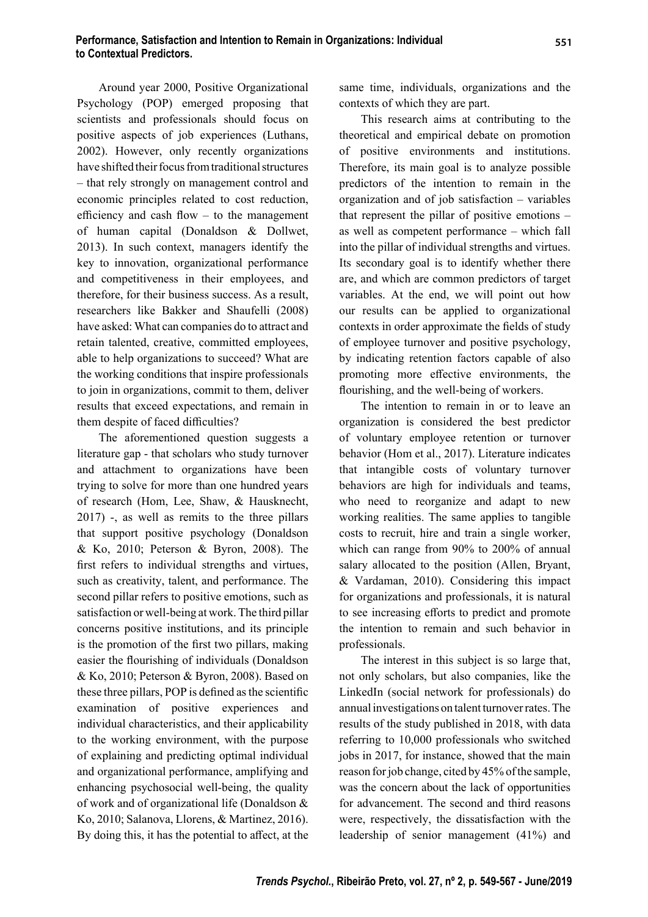Around year 2000, Positive Organizational Psychology (POP) emerged proposing that scientists and professionals should focus on positive aspects of job experiences (Luthans, 2002). However, only recently organizations have shifted their focus from traditional structures – that rely strongly on management control and economic principles related to cost reduction, efficiency and cash flow  $-$  to the management of human capital (Donaldson & Dollwet, 2013). In such context, managers identify the key to innovation, organizational performance and competitiveness in their employees, and therefore, for their business success. As a result, researchers like Bakker and Shaufelli (2008) have asked: What can companies do to attract and retain talented, creative, committed employees, able to help organizations to succeed? What are the working conditions that inspire professionals to join in organizations, commit to them, deliver results that exceed expectations, and remain in them despite of faced difficulties?

The aforementioned question suggests a literature gap - that scholars who study turnover and attachment to organizations have been trying to solve for more than one hundred years of research (Hom, Lee, Shaw, & Hausknecht, 2017) -, as well as remits to the three pillars that support positive psychology (Donaldson & Ko, 2010; Peterson & Byron, 2008). The first refers to individual strengths and virtues, such as creativity, talent, and performance. The second pillar refers to positive emotions, such as satisfaction or well-being at work. The third pillar concerns positive institutions, and its principle is the promotion of the first two pillars, making easier the flourishing of individuals (Donaldson & Ko, 2010; Peterson & Byron, 2008). Based on these three pillars, POP is defined as the scientific examination of positive experiences and individual characteristics, and their applicability to the working environment, with the purpose of explaining and predicting optimal individual and organizational performance, amplifying and enhancing psychosocial well-being, the quality of work and of organizational life (Donaldson & Ko, 2010; Salanova, Llorens, & Martinez, 2016). By doing this, it has the potential to affect, at the

same time, individuals, organizations and the contexts of which they are part.

This research aims at contributing to the theoretical and empirical debate on promotion of positive environments and institutions. Therefore, its main goal is to analyze possible predictors of the intention to remain in the organization and of job satisfaction – variables that represent the pillar of positive emotions – as well as competent performance – which fall into the pillar of individual strengths and virtues. Its secondary goal is to identify whether there are, and which are common predictors of target variables. At the end, we will point out how our results can be applied to organizational contexts in order approximate the fields of study of employee turnover and positive psychology, by indicating retention factors capable of also promoting more effective environments, the flourishing, and the well-being of workers.

The intention to remain in or to leave an organization is considered the best predictor of voluntary employee retention or turnover behavior (Hom et al., 2017). Literature indicates that intangible costs of voluntary turnover behaviors are high for individuals and teams, who need to reorganize and adapt to new working realities. The same applies to tangible costs to recruit, hire and train a single worker, which can range from 90% to 200% of annual salary allocated to the position (Allen, Bryant, & Vardaman, 2010). Considering this impact for organizations and professionals, it is natural to see increasing efforts to predict and promote the intention to remain and such behavior in professionals.

The interest in this subject is so large that, not only scholars, but also companies, like the LinkedIn (social network for professionals) do annual investigations on talent turnover rates. The results of the study published in 2018, with data referring to 10,000 professionals who switched jobs in 2017, for instance, showed that the main reason for job change, cited by 45% of the sample, was the concern about the lack of opportunities for advancement. The second and third reasons were, respectively, the dissatisfaction with the leadership of senior management (41%) and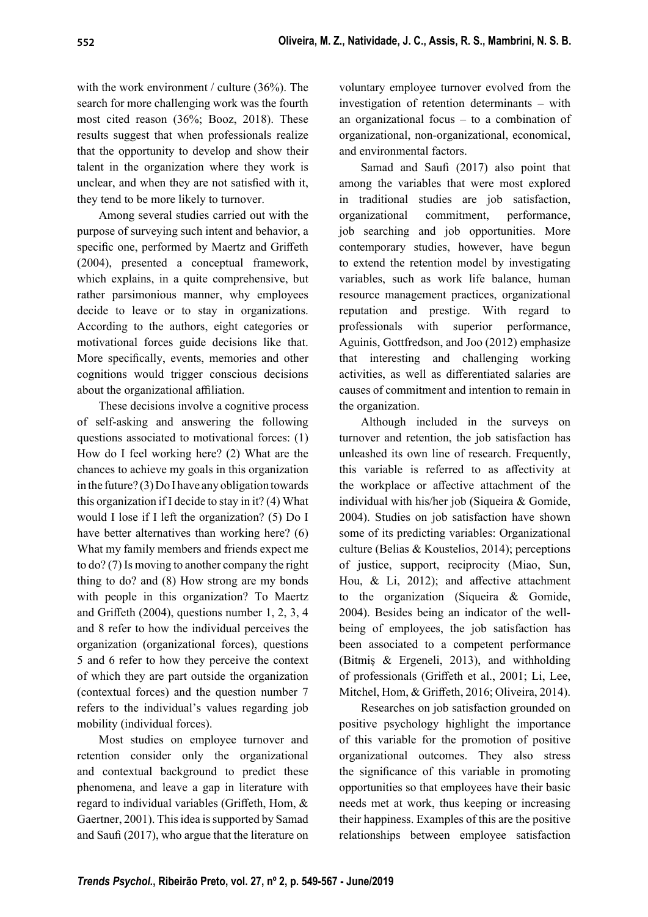with the work environment / culture (36%). The search for more challenging work was the fourth most cited reason (36%; Booz, 2018). These results suggest that when professionals realize that the opportunity to develop and show their talent in the organization where they work is unclear, and when they are not satisfied with it, they tend to be more likely to turnover.

Among several studies carried out with the purpose of surveying such intent and behavior, a specific one, performed by Maertz and Griffeth (2004), presented a conceptual framework, which explains, in a quite comprehensive, but rather parsimonious manner, why employees decide to leave or to stay in organizations. According to the authors, eight categories or motivational forces guide decisions like that. More specifically, events, memories and other cognitions would trigger conscious decisions about the organizational affiliation.

These decisions involve a cognitive process of self-asking and answering the following questions associated to motivational forces: (1) How do I feel working here? (2) What are the chances to achieve my goals in this organization in the future? (3) Do I have any obligation towards this organization if I decide to stay in it? (4) What would I lose if I left the organization? (5) Do I have better alternatives than working here? (6) What my family members and friends expect me to do? (7) Is moving to another company the right thing to do? and (8) How strong are my bonds with people in this organization? To Maertz and Griffeth  $(2004)$ , questions number 1, 2, 3, 4 and 8 refer to how the individual perceives the organization (organizational forces), questions 5 and 6 refer to how they perceive the context of which they are part outside the organization (contextual forces) and the question number 7 refers to the individual's values regarding job mobility (individual forces).

Most studies on employee turnover and retention consider only the organizational and contextual background to predict these phenomena, and leave a gap in literature with regard to individual variables (Griffeth, Hom,  $\&$ Gaertner, 2001). This idea is supported by Samad and Saufi (2017), who argue that the literature on

voluntary employee turnover evolved from the investigation of retention determinants – with an organizational focus – to a combination of organizational, non-organizational, economical, and environmental factors.

Samad and Saufi (2017) also point that among the variables that were most explored in traditional studies are job satisfaction, organizational commitment, performance, job searching and job opportunities. More contemporary studies, however, have begun to extend the retention model by investigating variables, such as work life balance, human resource management practices, organizational reputation and prestige. With regard to professionals with superior performance, Aguinis, Gottfredson, and Joo (2012) emphasize that interesting and challenging working activities, as well as differentiated salaries are causes of commitment and intention to remain in the organization.

Although included in the surveys on turnover and retention, the job satisfaction has unleashed its own line of research. Frequently, this variable is referred to as affectivity at the workplace or affective attachment of the individual with his/her job (Siqueira & Gomide, 2004). Studies on job satisfaction have shown some of its predicting variables: Organizational culture (Belias & Koustelios, 2014); perceptions of justice, support, reciprocity (Miao, Sun, Hou,  $\&$  Li, 2012); and affective attachment to the organization (Siqueira & Gomide, 2004). Besides being an indicator of the wellbeing of employees, the job satisfaction has been associated to a competent performance (Bitmiş & Ergeneli, 2013), and withholding of professionals (Griffeth et al., 2001; Li, Lee, Mitchel, Hom, & Griffeth, 2016; Oliveira, 2014).

Researches on job satisfaction grounded on positive psychology highlight the importance of this variable for the promotion of positive organizational outcomes. They also stress the significance of this variable in promoting opportunities so that employees have their basic needs met at work, thus keeping or increasing their happiness. Examples of this are the positive relationships between employee satisfaction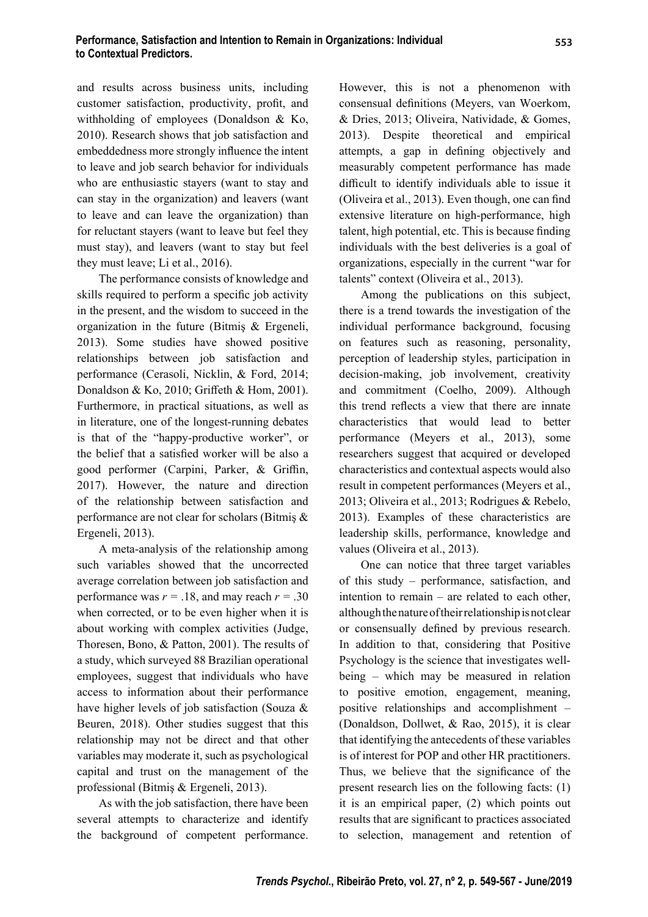and results across business units, including customer satisfaction, productivity, profit, and withholding of employees (Donaldson & Ko, 2010). Research shows that job satisfaction and embeddedness more strongly influence the intent to leave and job search behavior for individuals who are enthusiastic stayers (want to stay and can stay in the organization) and leavers (want to leave and can leave the organization) than for reluctant stayers (want to leave but feel they must stay), and leavers (want to stay but feel they must leave; Li et al., 2016).

The performance consists of knowledge and skills required to perform a specific job activity in the present, and the wisdom to succeed in the organization in the future (Bitmiş & Ergeneli, 2013). Some studies have showed positive relationships between job satisfaction and performance (Cerasoli, Nicklin, & Ford, 2014; Donaldson & Ko, 2010; Griffeth & Hom, 2001). Furthermore, in practical situations, as well as in literature, one of the longest-running debates is that of the "happy-productive worker", or the belief that a satisfied worker will be also a good performer (Carpini, Parker, & Griffin, 2017). However, the nature and direction of the relationship between satisfaction and performance are not clear for scholars (Bitmiş & Ergeneli, 2013).

A meta-analysis of the relationship among such variables showed that the uncorrected average correlation between job satisfaction and performance was  $r = .18$ , and may reach  $r = .30$ when corrected, or to be even higher when it is about working with complex activities (Judge, Thoresen, Bono, & Patton, 2001). The results of a study, which surveyed 88 Brazilian operational employees, suggest that individuals who have access to information about their performance have higher levels of job satisfaction (Souza & Beuren, 2018). Other studies suggest that this relationship may not be direct and that other variables may moderate it, such as psychological capital and trust on the management of the professional (Bitmiş & Ergeneli, 2013).

As with the job satisfaction, there have been several attempts to characterize and identify the background of competent performance. However, this is not a phenomenon with consensual definitions (Meyers, van Woerkom, & Dries, 2013; Oliveira, Natividade, & Gomes, 2013). Despite theoretical and empirical attempts, a gap in defining objectively and measurably competent performance has made difficult to identify individuals able to issue it (Oliveira et al., 2013). Even though, one can find extensive literature on high-performance, high talent, high potential, etc. This is because finding individuals with the best deliveries is a goal of organizations, especially in the current "war for talents" context (Oliveira et al., 2013).

Among the publications on this subject, there is a trend towards the investigation of the individual performance background, focusing on features such as reasoning, personality, perception of leadership styles, participation in decision-making, job involvement, creativity and commitment (Coelho, 2009). Although this trend reflects a view that there are innate characteristics that would lead to better performance (Meyers et al., 2013), some researchers suggest that acquired or developed characteristics and contextual aspects would also result in competent performances (Meyers et al., 2013; Oliveira et al., 2013; Rodrigues & Rebelo, 2013). Examples of these characteristics are leadership skills, performance, knowledge and values (Oliveira et al., 2013).

One can notice that three target variables of this study – performance, satisfaction, and intention to remain – are related to each other, although the nature of their relationship is not clear or consensually defined by previous research. In addition to that, considering that Positive Psychology is the science that investigates wellbeing – which may be measured in relation to positive emotion, engagement, meaning, positive relationships and accomplishment – (Donaldson, Dollwet, & Rao, 2015), it is clear that identifying the antecedents of these variables is of interest for POP and other HR practitioners. Thus, we believe that the significance of the present research lies on the following facts: (1) it is an empirical paper, (2) which points out results that are significant to practices associated to selection, management and retention of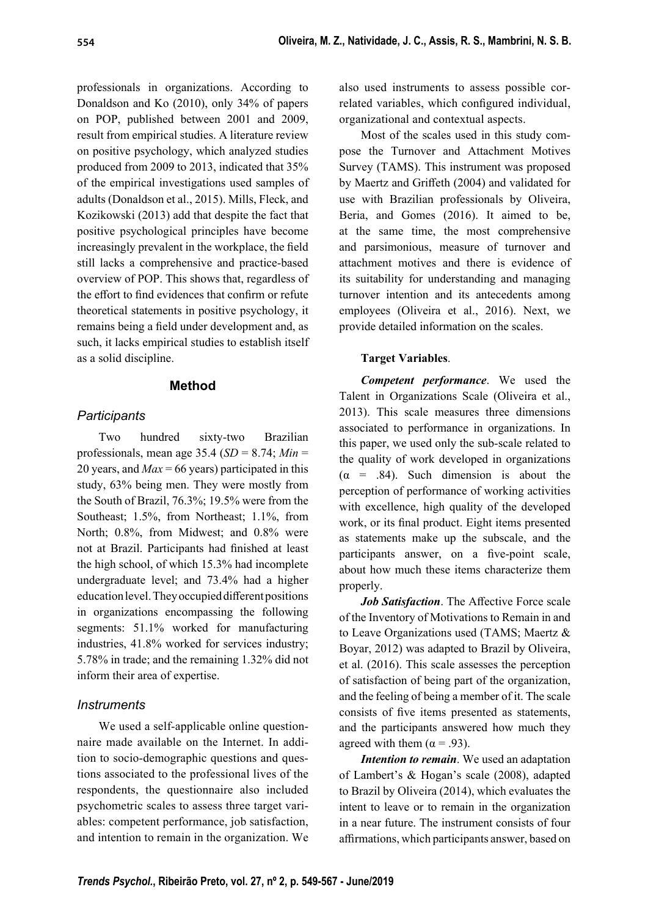professionals in organizations. According to Donaldson and Ko (2010), only 34% of papers on POP, published between 2001 and 2009, result from empirical studies. A literature review on positive psychology, which analyzed studies produced from 2009 to 2013, indicated that 35% of the empirical investigations used samples of adults (Donaldson et al., 2015). Mills, Fleck, and Kozikowski (2013) add that despite the fact that positive psychological principles have become increasingly prevalent in the workplace, the field still lacks a comprehensive and practice-based overview of POP. This shows that, regardless of the effort to find evidences that confirm or refute theoretical statements in positive psychology, it remains being a field under development and, as such, it lacks empirical studies to establish itself as a solid discipline.

#### **Method**

#### *Participants*

Two hundred sixty-two Brazilian professionals, mean age 35.4 (*SD* = 8.74; *Min* = 20 years, and *Max* = 66 years) participated in this study, 63% being men. They were mostly from the South of Brazil, 76.3%; 19.5% were from the Southeast; 1.5%, from Northeast; 1.1%, from North; 0.8%, from Midwest; and 0.8% were not at Brazil. Participants had finished at least the high school, of which 15.3% had incomplete undergraduate level; and 73.4% had a higher education level. They occupied different positions in organizations encompassing the following segments: 51.1% worked for manufacturing industries, 41.8% worked for services industry; 5.78% in trade; and the remaining 1.32% did not inform their area of expertise.

#### *Instruments*

We used a self-applicable online questionnaire made available on the Internet. In addition to socio-demographic questions and questions associated to the professional lives of the respondents, the questionnaire also included psychometric scales to assess three target variables: competent performance, job satisfaction, and intention to remain in the organization. We

also used instruments to assess possible correlated variables, which configured individual, organizational and contextual aspects.

Most of the scales used in this study compose the Turnover and Attachment Motives Survey (TAMS). This instrument was proposed by Maertz and Griffeth (2004) and validated for use with Brazilian professionals by Oliveira, Beria, and Gomes (2016). It aimed to be, at the same time, the most comprehensive and parsimonious, measure of turnover and attachment motives and there is evidence of its suitability for understanding and managing turnover intention and its antecedents among employees (Oliveira et al., 2016). Next, we provide detailed information on the scales.

#### **Target Variables**.

*Competent performance*. We used the Talent in Organizations Scale (Oliveira et al., 2013). This scale measures three dimensions associated to performance in organizations. In this paper, we used only the sub-scale related to the quality of work developed in organizations  $(\alpha = .84)$ . Such dimension is about the perception of performance of working activities with excellence, high quality of the developed work, or its final product. Eight items presented as statements make up the subscale, and the participants answer, on a five-point scale, about how much these items characterize them properly.

*Job Satisfaction*. The Affective Force scale of the Inventory of Motivations to Remain in and to Leave Organizations used (TAMS; Maertz & Boyar, 2012) was adapted to Brazil by Oliveira, et al. (2016). This scale assesses the perception of satisfaction of being part of the organization, and the feeling of being a member of it. The scale consists of five items presented as statements, and the participants answered how much they agreed with them  $(\alpha = .93)$ .

*Intention to remain*. We used an adaptation of Lambert's & Hogan's scale (2008), adapted to Brazil by Oliveira (2014), which evaluates the intent to leave or to remain in the organization in a near future. The instrument consists of four affirmations, which participants answer, based on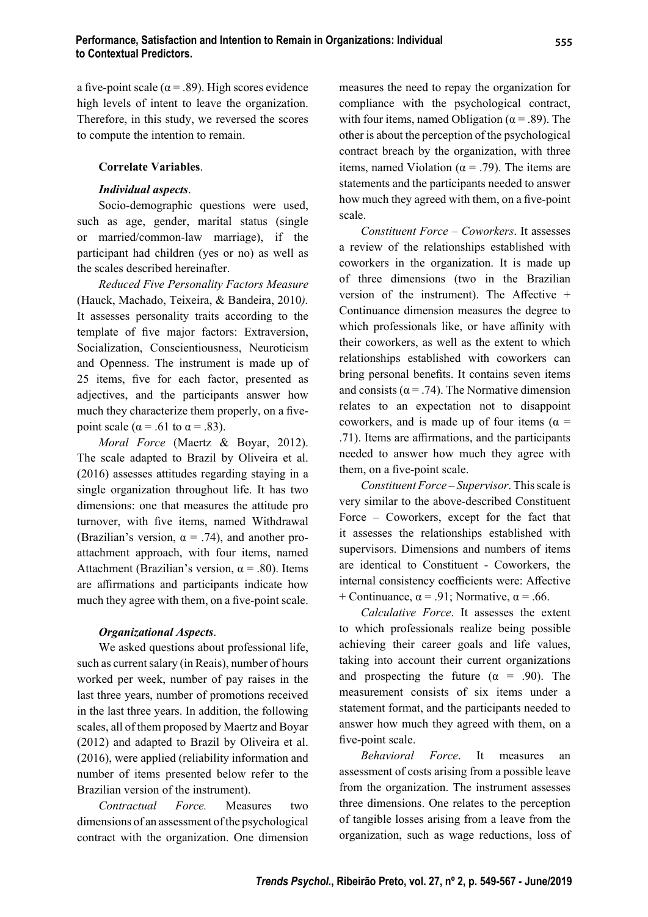a five-point scale ( $\alpha$  = .89). High scores evidence high levels of intent to leave the organization. Therefore, in this study, we reversed the scores to compute the intention to remain.

#### **Correlate Variables**.

### *Individual aspects*.

Socio-demographic questions were used, such as age, gender, marital status (single or married/common-law marriage), if the participant had children (yes or no) as well as the scales described hereinafter.

*Reduced Five Personality Factors Measure* (Hauck, Machado, Teixeira, & Bandeira, 2010*).* It assesses personality traits according to the template of five major factors: Extraversion, Socialization, Conscientiousness, Neuroticism and Openness. The instrument is made up of 25 items, five for each factor, presented as adjectives, and the participants answer how much they characterize them properly, on a fivepoint scale ( $\alpha$  = .61 to  $\alpha$  = .83).

*Moral Force* (Maertz & Boyar, 2012). The scale adapted to Brazil by Oliveira et al. (2016) assesses attitudes regarding staying in a single organization throughout life. It has two dimensions: one that measures the attitude pro turnover, with five items, named Withdrawal (Brazilian's version,  $\alpha = .74$ ), and another proattachment approach, with four items, named Attachment (Brazilian's version,  $\alpha$  = .80). Items are affirmations and participants indicate how much they agree with them, on a five-point scale.

## *Organizational Aspects*.

We asked questions about professional life, such as current salary (in Reais), number of hours worked per week, number of pay raises in the last three years, number of promotions received in the last three years. In addition, the following scales, all of them proposed by Maertz and Boyar (2012) and adapted to Brazil by Oliveira et al. (2016), were applied (reliability information and number of items presented below refer to the Brazilian version of the instrument).

*Contractual Force.* Measures two dimensions of an assessment of the psychological contract with the organization. One dimension measures the need to repay the organization for compliance with the psychological contract, with four items, named Obligation ( $\alpha$  = .89). The other is about the perception of the psychological contract breach by the organization, with three items, named Violation ( $\alpha$  = .79). The items are statements and the participants needed to answer how much they agreed with them, on a five-point scale.

*Constituent Force – Coworkers*. It assesses a review of the relationships established with coworkers in the organization. It is made up of three dimensions (two in the Brazilian version of the instrument). The Affective  $+$ Continuance dimension measures the degree to which professionals like, or have affinity with their coworkers, as well as the extent to which relationships established with coworkers can bring personal benefits. It contains seven items and consists ( $\alpha$  = .74). The Normative dimension relates to an expectation not to disappoint coworkers, and is made up of four items ( $\alpha$  = .71). Items are affirmations, and the participants needed to answer how much they agree with them, on a five-point scale.

*Constituent Force – Supervisor*. This scale is very similar to the above-described Constituent Force – Coworkers, except for the fact that it assesses the relationships established with supervisors. Dimensions and numbers of items are identical to Constituent - Coworkers, the internal consistency coefficients were: Affective + Continuance,  $\alpha$  = .91; Normative,  $\alpha$  = .66.

*Calculative Force*. It assesses the extent to which professionals realize being possible achieving their career goals and life values, taking into account their current organizations and prospecting the future  $(\alpha = .90)$ . The measurement consists of six items under a statement format, and the participants needed to answer how much they agreed with them, on a five-point scale.

*Behavioral Force*. It measures an assessment of costs arising from a possible leave from the organization. The instrument assesses three dimensions. One relates to the perception of tangible losses arising from a leave from the organization, such as wage reductions, loss of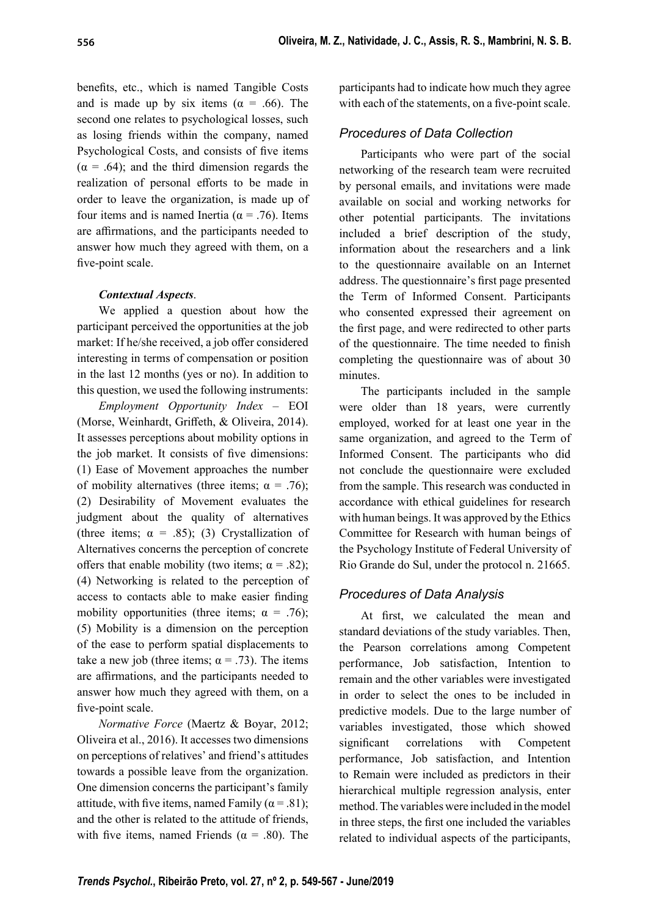benefits, etc., which is named Tangible Costs and is made up by six items ( $\alpha = .66$ ). The second one relates to psychological losses, such as losing friends within the company, named Psychological Costs, and consists of five items  $(\alpha = .64)$ ; and the third dimension regards the realization of personal efforts to be made in order to leave the organization, is made up of four items and is named Inertia ( $\alpha$  = .76). Items are affirmations, and the participants needed to answer how much they agreed with them, on a five-point scale.

# *Contextual Aspects*.

We applied a question about how the participant perceived the opportunities at the job market: If he/she received, a job offer considered interesting in terms of compensation or position in the last 12 months (yes or no). In addition to this question, we used the following instruments:

*Employment Opportunity Index –* EOI (Morse, Weinhardt, Griffeth, & Oliveira, 2014). It assesses perceptions about mobility options in the job market. It consists of five dimensions: (1) Ease of Movement approaches the number of mobility alternatives (three items;  $\alpha = .76$ ); (2) Desirability of Movement evaluates the judgment about the quality of alternatives (three items;  $\alpha = .85$ ); (3) Crystallization of Alternatives concerns the perception of concrete offers that enable mobility (two items;  $\alpha = .82$ ); (4) Networking is related to the perception of access to contacts able to make easier finding mobility opportunities (three items;  $\alpha = .76$ ); (5) Mobility is a dimension on the perception of the ease to perform spatial displacements to take a new job (three items;  $\alpha = .73$ ). The items are affirmations, and the participants needed to answer how much they agreed with them, on a five-point scale.

*Normative Force* (Maertz & Boyar, 2012; Oliveira et al., 2016). It accesses two dimensions on perceptions of relatives' and friend's attitudes towards a possible leave from the organization. One dimension concerns the participant's family attitude, with five items, named Family ( $\alpha$  = .81); and the other is related to the attitude of friends, with five items, named Friends ( $\alpha$  = .80). The participants had to indicate how much they agree with each of the statements, on a five-point scale.

# *Procedures of Data Collection*

Participants who were part of the social networking of the research team were recruited by personal emails, and invitations were made available on social and working networks for other potential participants. The invitations included a brief description of the study, information about the researchers and a link to the questionnaire available on an Internet address. The questionnaire's first page presented the Term of Informed Consent. Participants who consented expressed their agreement on the first page, and were redirected to other parts of the questionnaire. The time needed to finish completing the questionnaire was of about 30 minutes.

The participants included in the sample were older than 18 years, were currently employed, worked for at least one year in the same organization, and agreed to the Term of Informed Consent. The participants who did not conclude the questionnaire were excluded from the sample. This research was conducted in accordance with ethical guidelines for research with human beings. It was approved by the Ethics Committee for Research with human beings of the Psychology Institute of Federal University of Rio Grande do Sul, under the protocol n. 21665.

# *Procedures of Data Analysis*

At first, we calculated the mean and standard deviations of the study variables. Then, the Pearson correlations among Competent performance, Job satisfaction, Intention to remain and the other variables were investigated in order to select the ones to be included in predictive models. Due to the large number of variables investigated, those which showed significant correlations with Competent performance, Job satisfaction, and Intention to Remain were included as predictors in their hierarchical multiple regression analysis, enter method. The variables were included in the model in three steps, the first one included the variables related to individual aspects of the participants,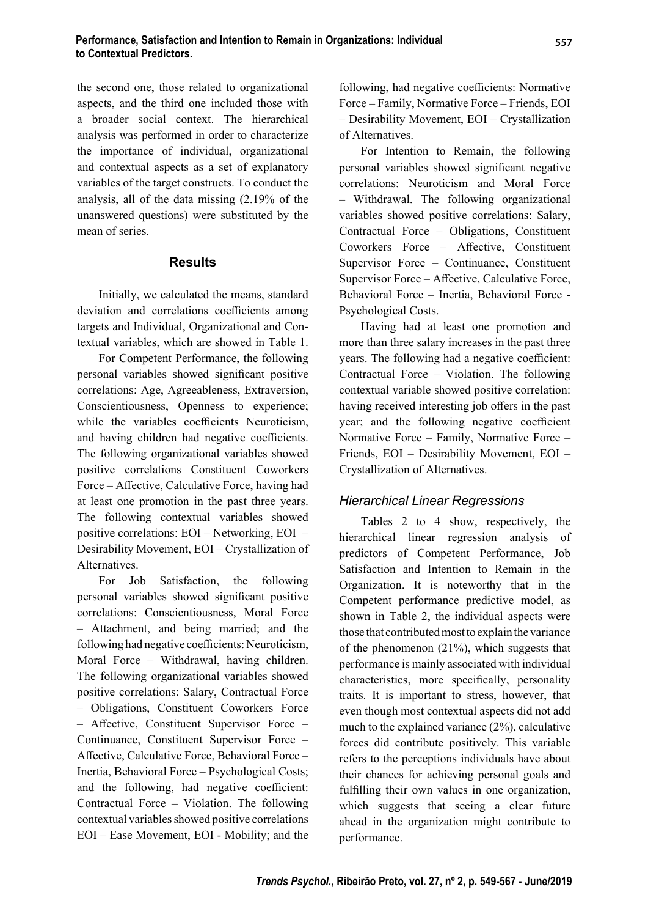the second one, those related to organizational aspects, and the third one included those with a broader social context. The hierarchical analysis was performed in order to characterize the importance of individual, organizational and contextual aspects as a set of explanatory variables of the target constructs. To conduct the analysis, all of the data missing (2.19% of the unanswered questions) were substituted by the mean of series.

## **Results**

Initially, we calculated the means, standard deviation and correlations coefficients among targets and Individual, Organizational and Contextual variables, which are showed in Table 1.

For Competent Performance, the following personal variables showed significant positive correlations: Age, Agreeableness, Extraversion, Conscientiousness, Openness to experience; while the variables coefficients Neuroticism, and having children had negative coefficients. The following organizational variables showed positive correlations Constituent Coworkers Force – Affective, Calculative Force, having had at least one promotion in the past three years. The following contextual variables showed positive correlations: EOI – Networking, EOI – Desirability Movement, EOI – Crystallization of Alternatives.

For Job Satisfaction, the following personal variables showed significant positive correlations: Conscientiousness, Moral Force – Attachment, and being married; and the following had negative coefficients: Neuroticism, Moral Force – Withdrawal, having children. The following organizational variables showed positive correlations: Salary, Contractual Force – Obligations, Constituent Coworkers Force  $-$  Affective, Constituent Supervisor Force  $-$ Continuance, Constituent Supervisor Force – Affective, Calculative Force, Behavioral Force -Inertia, Behavioral Force – Psychological Costs; and the following, had negative coefficient: Contractual Force – Violation. The following contextual variables showed positive correlations EOI – Ease Movement, EOI - Mobility; and the

following, had negative coefficients: Normative Force – Family, Normative Force – Friends, EOI – Desirability Movement, EOI – Crystallization of Alternatives.

For Intention to Remain, the following personal variables showed significant negative correlations: Neuroticism and Moral Force – Withdrawal. The following organizational variables showed positive correlations: Salary, Contractual Force – Obligations, Constituent Coworkers Force – Affective, Constituent Supervisor Force – Continuance, Constituent Supervisor Force – Affective, Calculative Force, Behavioral Force – Inertia, Behavioral Force - Psychological Costs.

Having had at least one promotion and more than three salary increases in the past three years. The following had a negative coefficient: Contractual Force – Violation. The following contextual variable showed positive correlation: having received interesting job offers in the past year; and the following negative coefficient Normative Force – Family, Normative Force – Friends, EOI – Desirability Movement, EOI – Crystallization of Alternatives.

## *Hierarchical Linear Regressions*

Tables 2 to 4 show, respectively, the hierarchical linear regression analysis of predictors of Competent Performance, Job Satisfaction and Intention to Remain in the Organization. It is noteworthy that in the Competent performance predictive model, as shown in Table 2, the individual aspects were those that contributed most to explain the variance of the phenomenon (21%), which suggests that performance is mainly associated with individual characteristics, more specifically, personality traits. It is important to stress, however, that even though most contextual aspects did not add much to the explained variance (2%), calculative forces did contribute positively. This variable refers to the perceptions individuals have about their chances for achieving personal goals and fulfilling their own values in one organization, which suggests that seeing a clear future ahead in the organization might contribute to performance.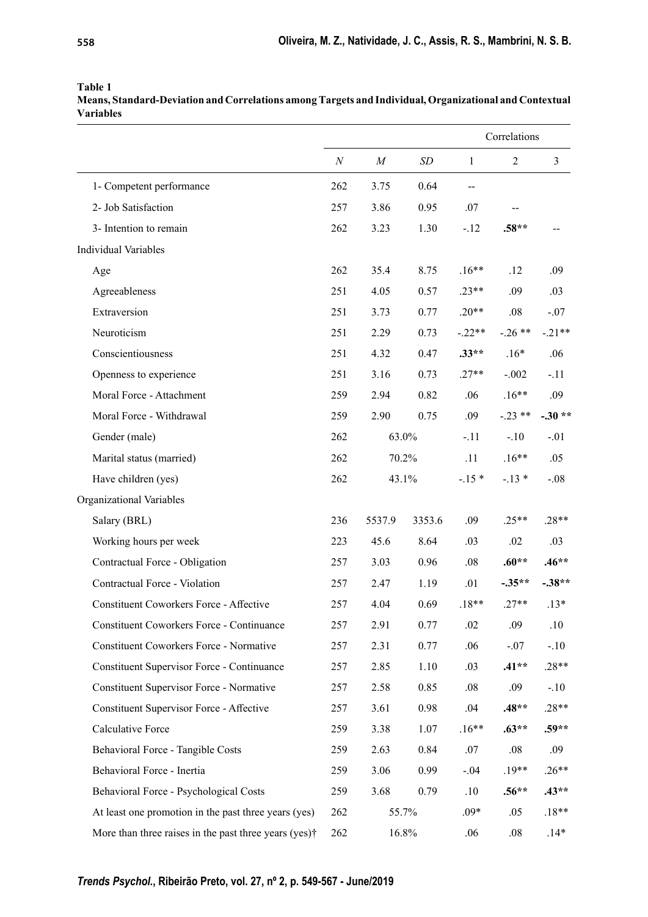| <b>Variables</b>                                 |                  |                  |        |              |                |          |  |
|--------------------------------------------------|------------------|------------------|--------|--------------|----------------|----------|--|
|                                                  |                  |                  |        | Correlations |                |          |  |
|                                                  | $\boldsymbol{N}$ | $\boldsymbol{M}$ | SD     | $\mathbf{1}$ | $\overline{2}$ | 3        |  |
| 1- Competent performance                         | 262              | 3.75             | 0.64   | $-$          |                |          |  |
| 2- Job Satisfaction                              | 257              | 3.86             | 0.95   | .07          |                |          |  |
| 3- Intention to remain                           | 262              | 3.23             | 1.30   | $-.12$       | $.58**$        |          |  |
| <b>Individual Variables</b>                      |                  |                  |        |              |                |          |  |
| Age                                              | 262              | 35.4             | 8.75   | $.16**$      | .12            | .09      |  |
| Agreeableness                                    | 251              | 4.05             | 0.57   | $.23**$      | .09            | .03      |  |
| Extraversion                                     | 251              | 3.73             | 0.77   | $.20**$      | .08            | $-.07$   |  |
| Neuroticism                                      | 251              | 2.29             | 0.73   | $-.22**$     | $-.26**$       | $-.21**$ |  |
| Conscientiousness                                | 251              | 4.32             | 0.47   | $.33**$      | $.16*$         | .06      |  |
| Openness to experience                           | 251              | 3.16             | 0.73   | $.27**$      | $-.002$        | $-.11$   |  |
| Moral Force - Attachment                         | 259              | 2.94             | 0.82   | .06          | $.16**$        | .09      |  |
| Moral Force - Withdrawal                         | 259              | 2.90             | 0.75   | .09          | $-.23**$       | $-.30**$ |  |
| Gender (male)                                    | 262              | 63.0%            |        | $-.11$       | $-.10$         | $-.01$   |  |
| Marital status (married)                         | 262              |                  | 70.2%  | .11          | $.16**$        | .05      |  |
| Have children (yes)                              | 262              | 43.1%            |        | $-.15*$      | $-.13*$        | $-.08$   |  |
| Organizational Variables                         |                  |                  |        |              |                |          |  |
| Salary (BRL)                                     | 236              | 5537.9           | 3353.6 | .09          | $.25**$        | $.28**$  |  |
| Working hours per week                           | 223              | 45.6             | 8.64   | .03          | .02            | .03      |  |
| Contractual Force - Obligation                   | 257              | 3.03             | 0.96   | $.08\,$      | $.60**$        | $.46**$  |  |
| Contractual Force - Violation                    | 257              | 2.47             | 1.19   | .01          | $-0.35**$      | $-.38**$ |  |
| Constituent Coworkers Force - Affective          | 257              | 4.04             | 0.69   | $.18**$      | $.27**$        | $.13*$   |  |
| <b>Constituent Coworkers Force - Continuance</b> | 257              | 2.91             | 0.77   | .02          | .09            | .10      |  |
| Constituent Coworkers Force - Normative          | 257              | 2.31             | 0.77   | .06          | $-.07$         | $-.10$   |  |
| Constituent Supervisor Force - Continuance       | 257              | 2.85             | 1.10   | .03          | $.41**$        | $.28**$  |  |
| Constituent Supervisor Force - Normative         | 257              | 2.58             | 0.85   | $.08\,$      | .09            | $-.10$   |  |
| Constituent Supervisor Force - Affective         | 257              | 3.61             | 0.98   | .04          | $.48**$        | $.28**$  |  |

Calculative Force 259 3.38 1.07 .16\*\* **.63\*\* .59\*\***

Behavioral Force - Tangible Costs 259 2.63 0.84 .07 .08 .09 Behavioral Force - Inertia 259 3.06 0.99 -.04 .19\*\* .26\*\* Behavioral Force - Psychological Costs 259 3.68 0.79 .10 **.56\*\* .43\*\*** At least one promotion in the past three years (yes) 262 55.7% .09\* .05 .18\*\* More than three raises in the past three years (yes)<sup>†</sup> 262 16.8% .06 .08 .14\*

**Table 1**

**Means, Standard-Deviation and Correlations among Targets and Individual, Organizational and Contextual Variables**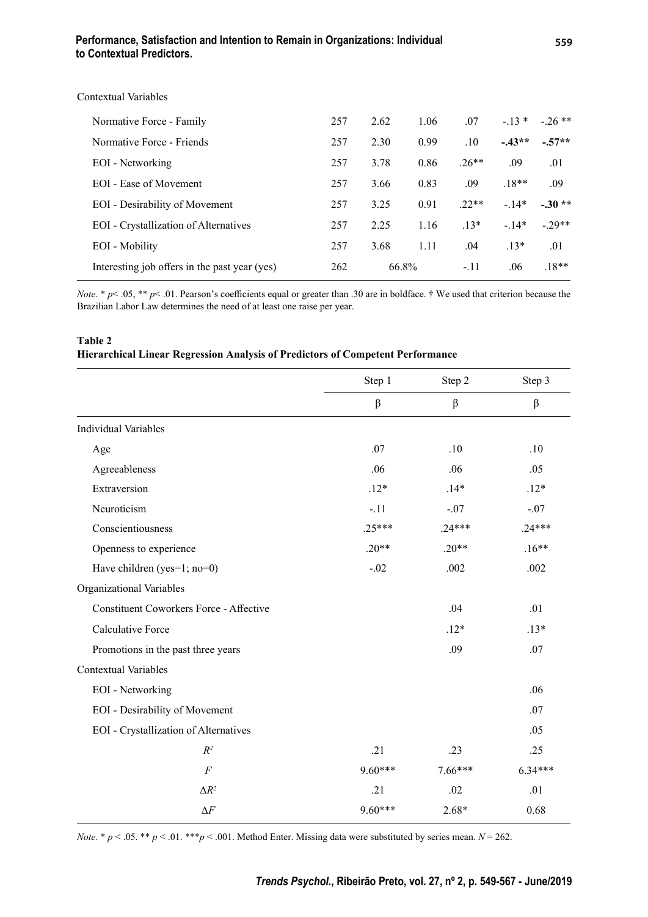## **Performance, Satisfaction and Intention to Remain in Organizations: Individual to Contextual Predictors.**

| Contextual Variables                          |     |       |      |         |         |          |
|-----------------------------------------------|-----|-------|------|---------|---------|----------|
| Normative Force - Family                      | 257 | 2.62  | 1.06 | .07     | $-13*$  | $-26$ ** |
| Normative Force - Friends                     | 257 | 2.30  | 0.99 | .10     | $-43**$ | $-.57**$ |
| EOI - Networking                              | 257 | 3.78  | 0.86 | $.26**$ | .09     | .01      |
| EOI - Ease of Movement                        | 257 | 3.66  | 0.83 | .09     | $.18**$ | .09      |
| EOI - Desirability of Movement                | 257 | 3.25  | 0.91 | $22**$  | $-.14*$ | $-.30**$ |
| <b>EOI</b> - Crystallization of Alternatives  | 257 | 2.25  | 1.16 | $.13*$  | $-14*$  | $-29**$  |
| EOI - Mobility                                | 257 | 3.68  | 1.11 | .04     | $.13*$  | .01      |
| Interesting job offers in the past year (yes) | 262 | 66.8% |      | $-.11$  | .06     | $.18**$  |
|                                               |     |       |      |         |         |          |

*Note.* \*  $p$ < .05, \*\*  $p$ < .01. Pearson's coefficients equal or greater than .30 are in boldface. † We used that criterion because the Brazilian Labor Law determines the need of at least one raise per year.

### **Table 2 Hierarchical Linear Regression Analysis of Predictors of Competent Performance**

|                                                | Step 1    | Step 2    | Step 3    |
|------------------------------------------------|-----------|-----------|-----------|
|                                                | β         | $\beta$   | $\beta$   |
| <b>Individual Variables</b>                    |           |           |           |
| Age                                            | .07       | .10       | .10       |
| Agreeableness                                  | .06       | .06       | .05       |
| Extraversion                                   | $.12*$    | $.14*$    | $.12*$    |
| Neuroticism                                    | $-.11$    | $-.07$    | $-.07$    |
| Conscientiousness                              | $.25***$  | $.24***$  | $.24***$  |
| Openness to experience                         | $.20**$   | $.20**$   | $.16**$   |
| Have children (yes=1; no=0)                    | $-.02$    | .002      | .002      |
| Organizational Variables                       |           |           |           |
| <b>Constituent Coworkers Force - Affective</b> |           | .04       | .01       |
| <b>Calculative Force</b>                       |           | $.12*$    | $.13*$    |
| Promotions in the past three years             |           | .09       | .07       |
| <b>Contextual Variables</b>                    |           |           |           |
| <b>EOI</b> - Networking                        |           |           | .06       |
| <b>EOI</b> - Desirability of Movement          |           |           | .07       |
| EOI - Crystallization of Alternatives          |           |           | .05       |
| $R^2$                                          | .21       | .23       | .25       |
| $\cal F$                                       | $9.60***$ | $7.66***$ | $6.34***$ |
| $\Delta R^2$                                   | .21       | .02       | .01       |
| $\Delta F$                                     | $9.60***$ | $2.68*$   | 0.68      |

*Note.* \*  $p < .05$ . \*\*  $p < .01$ . \*\*\* $p < .001$ . Method Enter. Missing data were substituted by series mean.  $N = 262$ .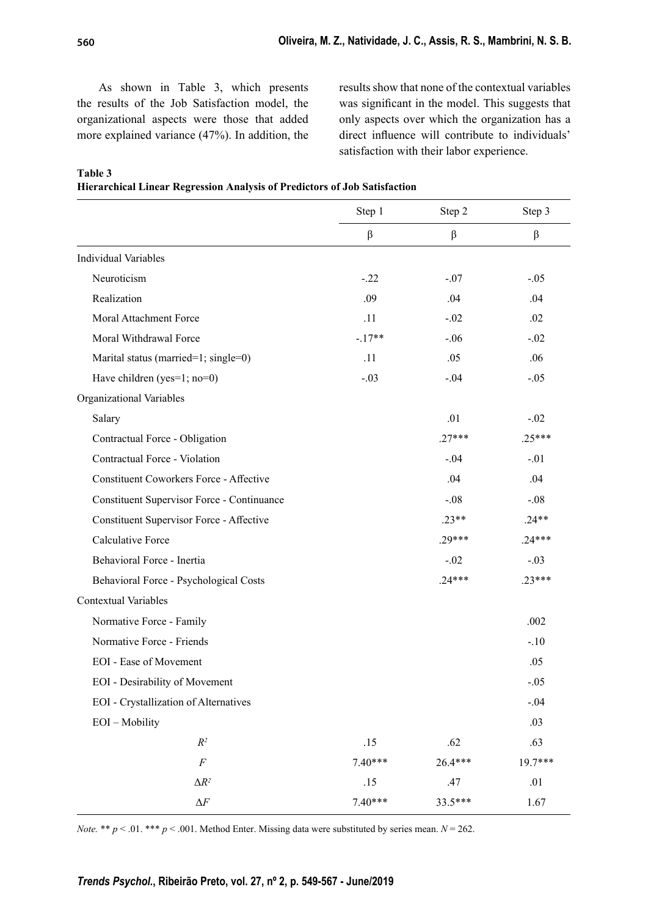As shown in Table 3, which presents the results of the Job Satisfaction model, the organizational aspects were those that added more explained variance (47%). In addition, the results show that none of the contextual variables was significant in the model. This suggests that only aspects over which the organization has a direct influence will contribute to individuals' satisfaction with their labor experience.

| <b>able</b> |  |
|-------------|--|
|-------------|--|

**Hierarchical Linear Regression Analysis of Predictors of Job Satisfaction**

|                                                | Step 1               | Step 2   | Step 3   |  |
|------------------------------------------------|----------------------|----------|----------|--|
|                                                | $\boldsymbol{\beta}$ | β        | $\beta$  |  |
| <b>Individual Variables</b>                    |                      |          |          |  |
| Neuroticism                                    | $-.22$               | $-.07$   | $-.05$   |  |
| Realization                                    | .09                  | .04      | .04      |  |
| Moral Attachment Force                         | .11                  | $-.02$   | .02      |  |
| Moral Withdrawal Force                         | $-.17**$             | $-.06$   | $-.02$   |  |
| Marital status (married=1; single=0)           | .11                  | .05      | .06      |  |
| Have children (yes=1; no=0)                    | $-.03$               | $-.04$   | $-.05$   |  |
| Organizational Variables                       |                      |          |          |  |
| Salary                                         |                      | .01      | $-.02$   |  |
| Contractual Force - Obligation                 |                      | $.27***$ | $.25***$ |  |
| Contractual Force - Violation                  |                      | $-.04$   | $-.01$   |  |
| <b>Constituent Coworkers Force - Affective</b> |                      | .04      | .04      |  |
| Constituent Supervisor Force - Continuance     |                      | $-.08$   | $-.08$   |  |
| Constituent Supervisor Force - Affective       |                      | $.23**$  | $.24**$  |  |
| Calculative Force                              |                      | $.29***$ | $.24***$ |  |
| Behavioral Force - Inertia                     |                      | $-.02$   | $-.03$   |  |
| Behavioral Force - Psychological Costs         |                      | $.24***$ | $.23***$ |  |
| <b>Contextual Variables</b>                    |                      |          |          |  |
| Normative Force - Family                       |                      |          | .002     |  |
| Normative Force - Friends                      |                      |          | $-.10$   |  |
| <b>EOI</b> - Ease of Movement                  |                      |          | .05      |  |
| <b>EOI</b> - Desirability of Movement          |                      |          | $-.05$   |  |
| EOI - Crystallization of Alternatives          |                      |          | $-.04$   |  |
| EOI - Mobility                                 |                      |          | .03      |  |
| $\mathbb{R}^2$                                 | .15                  | .62      | .63      |  |
| $\cal F$                                       | $7.40***$            | 26.4***  | 19.7***  |  |
| $\Delta R^2$                                   | .15                  | .47      | .01      |  |
| $\Delta F$                                     | $7.40***$            | 33.5***  | 1.67     |  |

*Note.* \*\* *p* < .01. \*\*\* *p* < .001. Method Enter. Missing data were substituted by series mean. *N* = 262.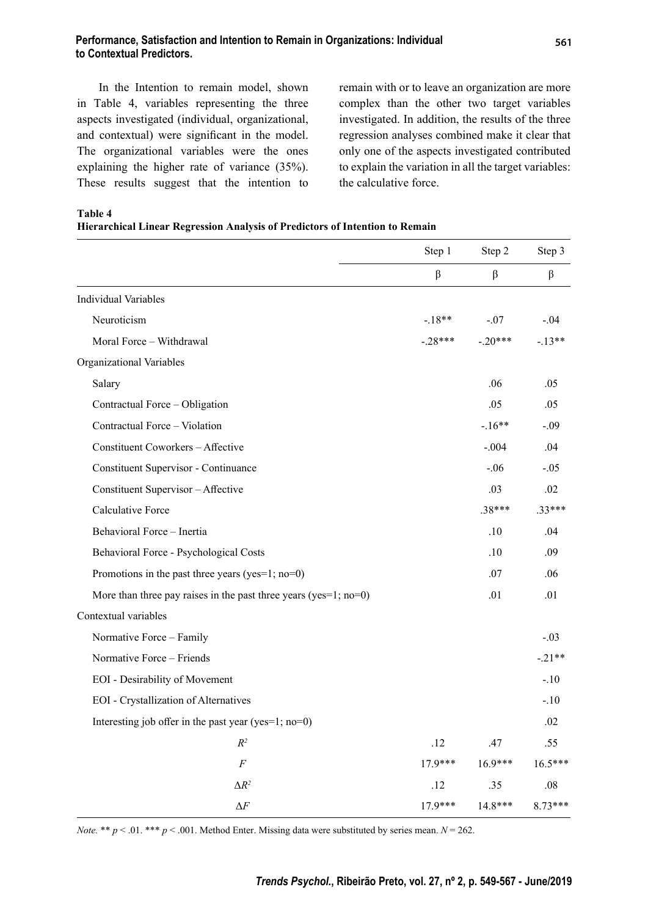### **Performance, Satisfaction and Intention to Remain in Organizations: Individual to Contextual Predictors.**

In the Intention to remain model, shown in Table 4, variables representing the three aspects investigated (individual, organizational, and contextual) were significant in the model. The organizational variables were the ones explaining the higher rate of variance (35%). These results suggest that the intention to remain with or to leave an organization are more complex than the other two target variables investigated. In addition, the results of the three regression analyses combined make it clear that only one of the aspects investigated contributed to explain the variation in all the target variables: the calculative force.

Step 1 Step 2 Step 3 βββ Individual Variables Neuroticism -07 -04 Moral Force – Withdrawal  $-28***$  -.20\*\*\* -.13\*\* Organizational Variables Salary .06 .05 Contractual Force – Obligation .05 .05 .05 .05 Contractual Force – Violation  $\sim$  -.16<sup>\*\*</sup>  $\sim$  -.09 Constituent Coworkers – Affective  $.04$  .004 .04 Constituent Supervisor - Continuance -.06 -.05 Constituent Supervisor – Affective .03 .02 Calculative Force .38\*\*\* .33\*\*\* Behavioral Force – Inertia .04 Behavioral Force - Psychological Costs ... 10 .09 Promotions in the past three years (yes=1; no=0)  $.07$  .06 More than three pay raises in the past three years (yes=1; no=0)  $.01$  .01  $.01$ Contextual variables Normative Force – Family  $-0.03$ Normative Force – Friends  $-21**$ EOI - Desirability of Movement -.10 EOI - Crystallization of Alternatives -... 10 Interesting job offer in the past year (yes=1; no=0)  $.02$ *R2* .12 .47 .55 *F* 17.9\*\*\* 16.9\*\*\* 16.5\*\*\*  $\Delta R^2$  .12 .35 .08 Δ*F* 17.9\*\*\* 14.8\*\*\* 8.73\*\*\*

**Table 4**

**Hierarchical Linear Regression Analysis of Predictors of Intention to Remain**

*Note.* \*\*  $p < 0.01$ . \*\*\*  $p < 0.001$ . Method Enter. Missing data were substituted by series mean.  $N = 262$ .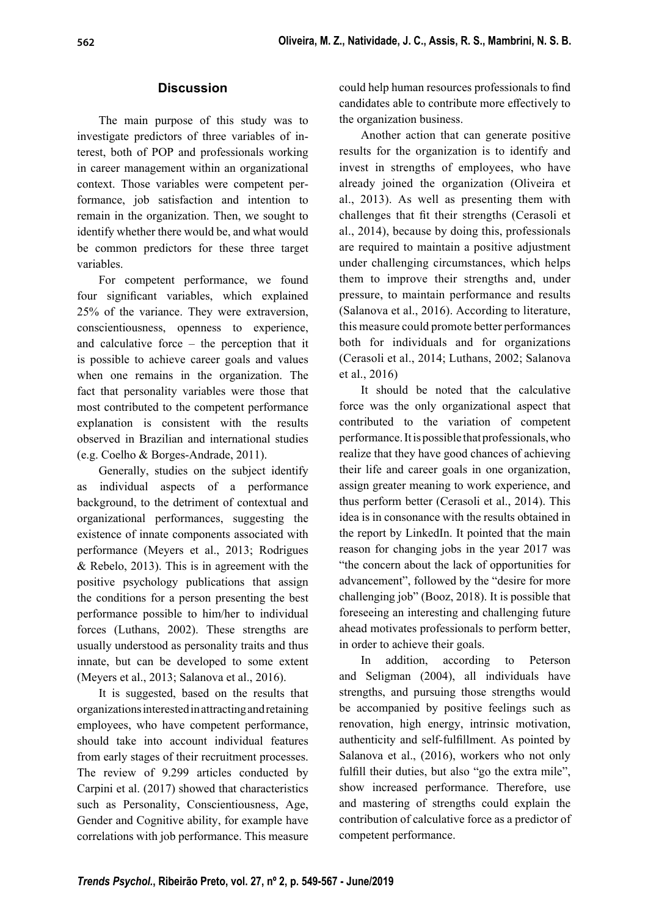# **Discussion**

The main purpose of this study was to investigate predictors of three variables of interest, both of POP and professionals working in career management within an organizational context. Those variables were competent performance, job satisfaction and intention to remain in the organization. Then, we sought to identify whether there would be, and what would be common predictors for these three target variables.

For competent performance, we found four significant variables, which explained 25% of the variance. They were extraversion, conscientiousness, openness to experience, and calculative force – the perception that it is possible to achieve career goals and values when one remains in the organization. The fact that personality variables were those that most contributed to the competent performance explanation is consistent with the results observed in Brazilian and international studies (e.g. Coelho & Borges-Andrade, 2011).

Generally, studies on the subject identify as individual aspects of a performance background, to the detriment of contextual and organizational performances, suggesting the existence of innate components associated with performance (Meyers et al., 2013; Rodrigues & Rebelo, 2013). This is in agreement with the positive psychology publications that assign the conditions for a person presenting the best performance possible to him/her to individual forces (Luthans, 2002). These strengths are usually understood as personality traits and thus innate, but can be developed to some extent (Meyers et al., 2013; Salanova et al., 2016).

It is suggested, based on the results that organizations interested in attracting and retaining employees, who have competent performance, should take into account individual features from early stages of their recruitment processes. The review of 9.299 articles conducted by Carpini et al. (2017) showed that characteristics such as Personality, Conscientiousness, Age, Gender and Cognitive ability, for example have correlations with job performance. This measure

could help human resources professionals to find candidates able to contribute more effectively to the organization business.

Another action that can generate positive results for the organization is to identify and invest in strengths of employees, who have already joined the organization (Oliveira et al., 2013). As well as presenting them with challenges that fit their strengths (Cerasoli et al., 2014), because by doing this, professionals are required to maintain a positive adjustment under challenging circumstances, which helps them to improve their strengths and, under pressure, to maintain performance and results (Salanova et al., 2016). According to literature, this measure could promote better performances both for individuals and for organizations (Cerasoli et al., 2014; Luthans, 2002; Salanova et al., 2016)

It should be noted that the calculative force was the only organizational aspect that contributed to the variation of competent performance. It is possible that professionals, who realize that they have good chances of achieving their life and career goals in one organization, assign greater meaning to work experience, and thus perform better (Cerasoli et al., 2014). This idea is in consonance with the results obtained in the report by LinkedIn. It pointed that the main reason for changing jobs in the year 2017 was "the concern about the lack of opportunities for advancement", followed by the "desire for more challenging job" (Booz, 2018). It is possible that foreseeing an interesting and challenging future ahead motivates professionals to perform better, in order to achieve their goals.

In addition, according to Peterson and Seligman (2004), all individuals have strengths, and pursuing those strengths would be accompanied by positive feelings such as renovation, high energy, intrinsic motivation, authenticity and self-fulfillment. As pointed by Salanova et al., (2016), workers who not only fulfill their duties, but also "go the extra mile", show increased performance. Therefore, use and mastering of strengths could explain the contribution of calculative force as a predictor of competent performance.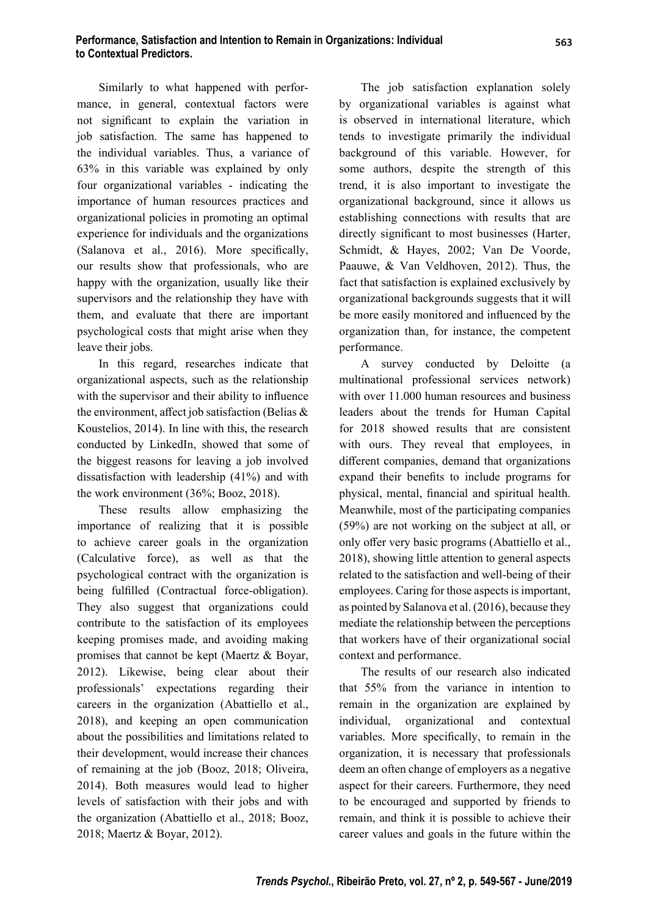Similarly to what happened with performance, in general, contextual factors were not significant to explain the variation in job satisfaction. The same has happened to the individual variables. Thus, a variance of 63% in this variable was explained by only four organizational variables - indicating the importance of human resources practices and organizational policies in promoting an optimal experience for individuals and the organizations (Salanova et al., 2016). More specifically, our results show that professionals, who are happy with the organization, usually like their supervisors and the relationship they have with them, and evaluate that there are important psychological costs that might arise when they leave their jobs.

In this regard, researches indicate that organizational aspects, such as the relationship with the supervisor and their ability to influence the environment, affect job satisfaction (Belias  $\&$ Koustelios, 2014). In line with this, the research conducted by LinkedIn, showed that some of the biggest reasons for leaving a job involved dissatisfaction with leadership (41%) and with the work environment (36%; Booz, 2018).

These results allow emphasizing the importance of realizing that it is possible to achieve career goals in the organization (Calculative force), as well as that the psychological contract with the organization is being fulfilled (Contractual force-obligation). They also suggest that organizations could contribute to the satisfaction of its employees keeping promises made, and avoiding making promises that cannot be kept (Maertz & Boyar, 2012). Likewise, being clear about their professionals' expectations regarding their careers in the organization (Abattiello et al., 2018), and keeping an open communication about the possibilities and limitations related to their development, would increase their chances of remaining at the job (Booz, 2018; Oliveira, 2014). Both measures would lead to higher levels of satisfaction with their jobs and with the organization (Abattiello et al., 2018; Booz, 2018; Maertz & Boyar, 2012).

The job satisfaction explanation solely by organizational variables is against what is observed in international literature, which tends to investigate primarily the individual background of this variable. However, for some authors, despite the strength of this trend, it is also important to investigate the organizational background, since it allows us establishing connections with results that are directly significant to most businesses (Harter, Schmidt, & Hayes, 2002; Van De Voorde, Paauwe, & Van Veldhoven, 2012). Thus, the fact that satisfaction is explained exclusively by organizational backgrounds suggests that it will be more easily monitored and influenced by the organization than, for instance, the competent performance.

A survey conducted by Deloitte (a multinational professional services network) with over 11.000 human resources and business leaders about the trends for Human Capital for 2018 showed results that are consistent with ours. They reveal that employees, in different companies, demand that organizations expand their benefits to include programs for physical, mental, financial and spiritual health. Meanwhile, most of the participating companies (59%) are not working on the subject at all, or only offer very basic programs (Abattiello et al., 2018), showing little attention to general aspects related to the satisfaction and well-being of their employees. Caring for those aspects is important, as pointed by Salanova et al. (2016), because they mediate the relationship between the perceptions that workers have of their organizational social context and performance.

The results of our research also indicated that 55% from the variance in intention to remain in the organization are explained by individual, organizational and contextual variables. More specifically, to remain in the organization, it is necessary that professionals deem an often change of employers as a negative aspect for their careers. Furthermore, they need to be encouraged and supported by friends to remain, and think it is possible to achieve their career values and goals in the future within the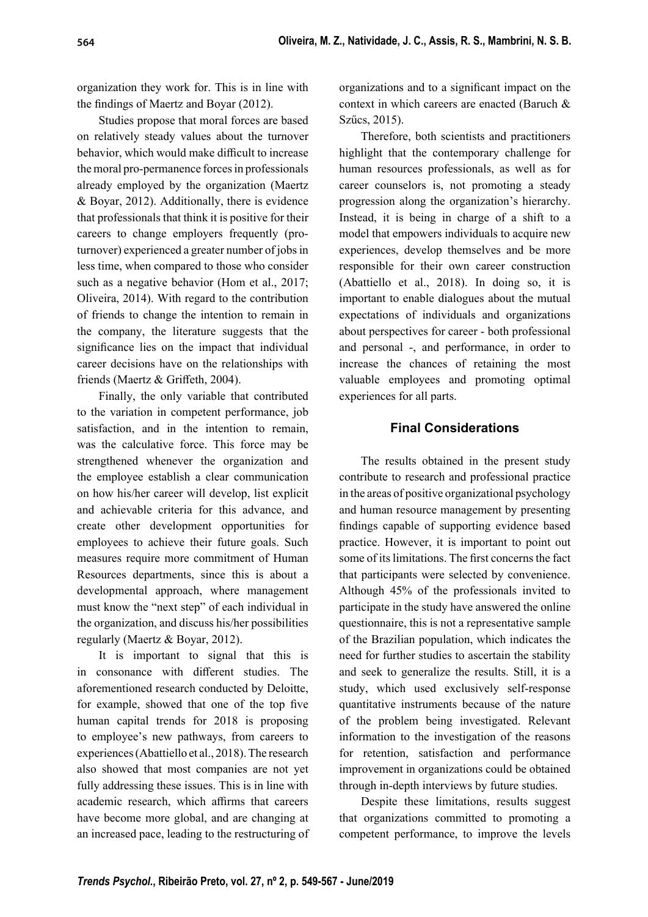organization they work for. This is in line with the findings of Maertz and Boyar  $(2012)$ .

Studies propose that moral forces are based on relatively steady values about the turnover behavior, which would make difficult to increase the moral pro-permanence forces in professionals already employed by the organization (Maertz & Boyar, 2012). Additionally, there is evidence that professionals that think it is positive for their careers to change employers frequently (proturnover) experienced a greater number of jobs in less time, when compared to those who consider such as a negative behavior (Hom et al., 2017; Oliveira, 2014). With regard to the contribution of friends to change the intention to remain in the company, the literature suggests that the significance lies on the impact that individual career decisions have on the relationships with friends (Maertz  $&$  Griffeth, 2004).

Finally, the only variable that contributed to the variation in competent performance, job satisfaction, and in the intention to remain, was the calculative force. This force may be strengthened whenever the organization and the employee establish a clear communication on how his/her career will develop, list explicit and achievable criteria for this advance, and create other development opportunities for employees to achieve their future goals. Such measures require more commitment of Human Resources departments, since this is about a developmental approach, where management must know the "next step" of each individual in the organization, and discuss his/her possibilities regularly (Maertz & Boyar, 2012).

It is important to signal that this is in consonance with different studies. The aforementioned research conducted by Deloitte, for example, showed that one of the top five human capital trends for 2018 is proposing to employee's new pathways, from careers to experiences (Abattiello et al., 2018). The research also showed that most companies are not yet fully addressing these issues. This is in line with academic research, which affirms that careers have become more global, and are changing at an increased pace, leading to the restructuring of organizations and to a significant impact on the context in which careers are enacted (Baruch & Szűcs, 2015).

Therefore, both scientists and practitioners highlight that the contemporary challenge for human resources professionals, as well as for career counselors is, not promoting a steady progression along the organization's hierarchy. Instead, it is being in charge of a shift to a model that empowers individuals to acquire new experiences, develop themselves and be more responsible for their own career construction (Abattiello et al., 2018). In doing so, it is important to enable dialogues about the mutual expectations of individuals and organizations about perspectives for career - both professional and personal -, and performance, in order to increase the chances of retaining the most valuable employees and promoting optimal experiences for all parts.

# **Final Considerations**

The results obtained in the present study contribute to research and professional practice in the areas of positive organizational psychology and human resource management by presenting findings capable of supporting evidence based practice. However, it is important to point out some of its limitations. The first concerns the fact that participants were selected by convenience. Although 45% of the professionals invited to participate in the study have answered the online questionnaire, this is not a representative sample of the Brazilian population, which indicates the need for further studies to ascertain the stability and seek to generalize the results. Still, it is a study, which used exclusively self-response quantitative instruments because of the nature of the problem being investigated. Relevant information to the investigation of the reasons for retention, satisfaction and performance improvement in organizations could be obtained through in-depth interviews by future studies.

Despite these limitations, results suggest that organizations committed to promoting a competent performance, to improve the levels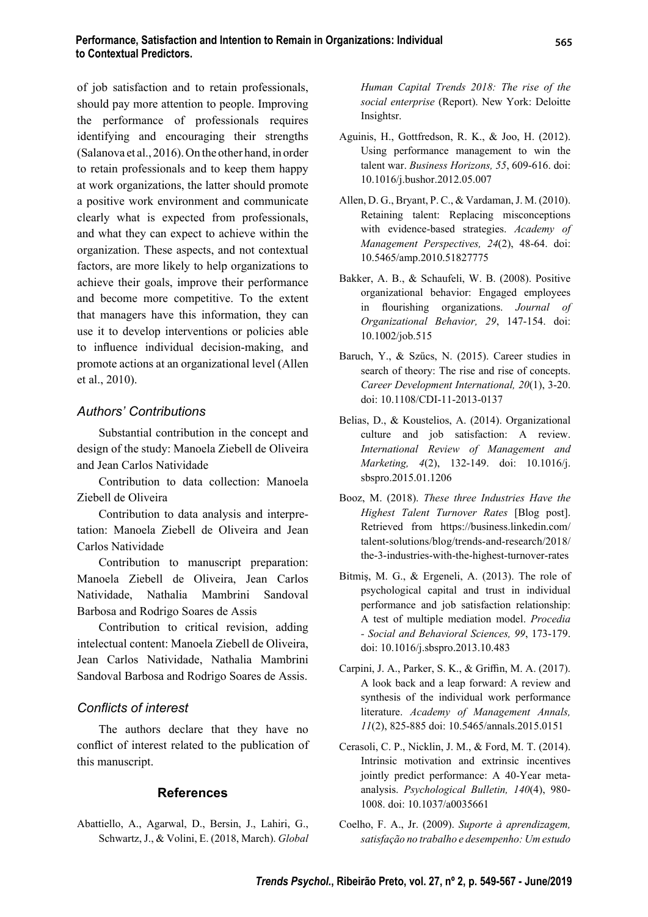of job satisfaction and to retain professionals, should pay more attention to people. Improving the performance of professionals requires identifying and encouraging their strengths (Salanova et al., 2016). On the other hand, in order to retain professionals and to keep them happy at work organizations, the latter should promote a positive work environment and communicate clearly what is expected from professionals, and what they can expect to achieve within the organization. These aspects, and not contextual factors, are more likely to help organizations to achieve their goals, improve their performance and become more competitive. To the extent that managers have this information, they can use it to develop interventions or policies able to influence individual decision-making, and promote actions at an organizational level (Allen et al., 2010).

# *Authors' Contributions*

Substantial contribution in the concept and design of the study: Manoela Ziebell de Oliveira and Jean Carlos Natividade

Contribution to data collection: Manoela Ziebell de Oliveira

Contribution to data analysis and interpretation: Manoela Ziebell de Oliveira and Jean Carlos Natividade

Contribution to manuscript preparation: Manoela Ziebell de Oliveira, Jean Carlos Natividade, Nathalia Mambrini Sandoval Barbosa and Rodrigo Soares de Assis

Contribution to critical revision, adding intelectual content: Manoela Ziebell de Oliveira, Jean Carlos Natividade, Nathalia Mambrini Sandoval Barbosa and Rodrigo Soares de Assis.

## *Confl icts of interest*

The authors declare that they have no conflict of interest related to the publication of this manuscript.

## **References**

Abattiello, A., Agarwal, D., Bersin, J., Lahiri, G., Schwartz, J., & Volini, E. (2018, March). *Global*  *Human Capital Trends 2018: The rise of the social enterprise* (Report). New York: Deloitte Insightsr.

- Aguinis, H., Gottfredson, R. K., & Joo, H. (2012). Using performance management to win the talent war. *Business Horizons, 55*, 609-616. doi: 10.1016/j.bushor.2012.05.007
- Allen, D. G., Bryant, P. C., & Vardaman, J. M. (2010). Retaining talent: Replacing misconceptions with evidence-based strategies. *Academy of Management Perspectives, 24*(2), 48-64. doi: 10.5465/amp.2010.51827775
- Bakker, A. B., & Schaufeli, W. B. (2008). Positive organizational behavior: Engaged employees in flourishing organizations. *Journal of Organizational Behavior, 29*, 147-154. doi: 10.1002/job.515
- Baruch, Y., & Szűcs, N. (2015). Career studies in search of theory: The rise and rise of concepts. *Career Development International, 20*(1), 3-20. doi: 10.1108/CDI-11-2013-0137
- Belias, D., & Koustelios, A. (2014). Organizational culture and job satisfaction: A review. *International Review of Management and Marketing, 4*(2), 132-149. doi: 10.1016/j. sbspro.2015.01.1206
- Booz, M. (2018). *These three Industries Have the Highest Talent Turnover Rates* [Blog post]. Retrieved from https://business.linkedin.com/ talent-solutions/blog/trends-and-research/2018/ the-3-industries-with-the-highest-turnover-rates
- Bitmiş, M. G., & Ergeneli, A. (2013). The role of psychological capital and trust in individual performance and job satisfaction relationship: A test of multiple mediation model. *Procedia - Social and Behavioral Sciences, 99*, 173-179. doi: 10.1016/j.sbspro.2013.10.483
- Carpini, J. A., Parker, S. K., & Griffin, M. A. (2017). A look back and a leap forward: A review and synthesis of the individual work performance literature. *Academy of Management Annals, 11*(2), 825-885 doi: 10.5465/annals.2015.0151
- Cerasoli, C. P., Nicklin, J. M., & Ford, M. T. (2014). Intrinsic motivation and extrinsic incentives jointly predict performance: A 40-Year metaanalysis. *Psychological Bulletin, 140*(4), 980- 1008. doi: 10.1037/a0035661
- Coelho, F. A., Jr. (2009). *Suporte à aprendizagem, satisfação no trabalho e desempenho: Um estudo*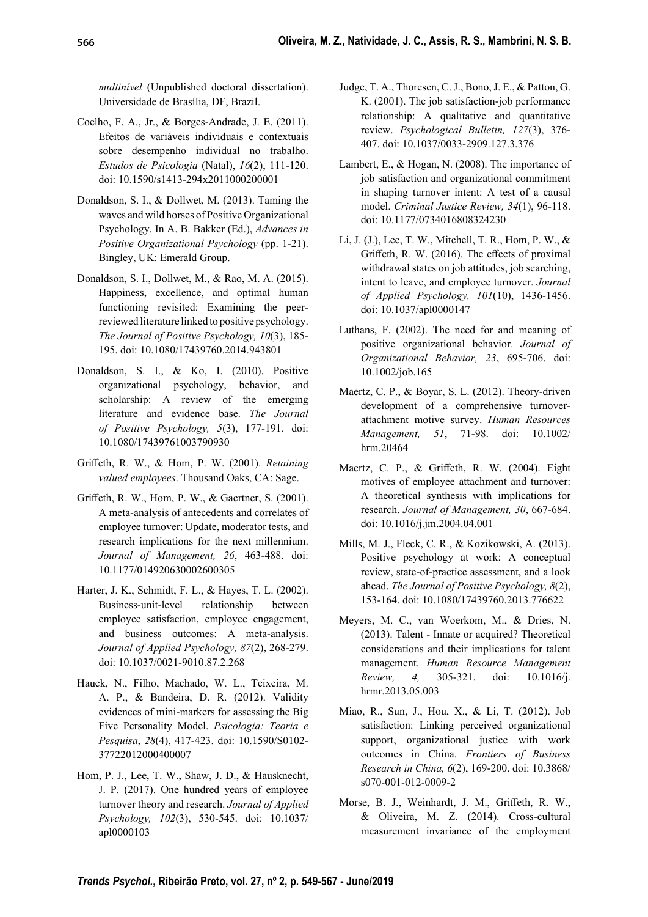*multinível* (Unpublished doctoral dissertation). Universidade de Brasília, DF, Brazil.

- Coelho, F. A., Jr., & Borges-Andrade, J. E. (2011). Efeitos de variáveis individuais e contextuais sobre desempenho individual no trabalho. *Estudos de Psicologia* (Natal), *16*(2), 111-120. doi: 10.1590/s1413-294x2011000200001
- Donaldson, S. I., & Dollwet, M. (2013). Taming the waves and wild horses of Positive Organizational Psychology. In A. B. Bakker (Ed.), *Advances in Positive Organizational Psychology* (pp. 1-21). Bingley, UK: Emerald Group.
- Donaldson, S. I., Dollwet, M., & Rao, M. A. (2015). Happiness, excellence, and optimal human functioning revisited: Examining the peerreviewed literature linked to positive psychology. *The Journal of Positive Psychology, 10*(3), 185- 195. doi: 10.1080/17439760.2014.943801
- Donaldson, S. I., & Ko, I. (2010). Positive organizational psychology, behavior, and scholarship: A review of the emerging literature and evidence base. *The Journal of Positive Psychology, 5*(3), 177-191. doi: 10.1080/17439761003790930
- Griff eth, R. W., & Hom, P. W. (2001). *Retaining valued employees*. Thousand Oaks, CA: Sage.
- Griffeth, R. W., Hom, P. W., & Gaertner, S. (2001). A meta-analysis of antecedents and correlates of employee turnover: Update, moderator tests, and research implications for the next millennium. *Journal of Management, 26*, 463-488. doi: 10.1177/014920630002600305
- Harter, J. K., Schmidt, F. L., & Hayes, T. L. (2002). Business-unit-level relationship between employee satisfaction, employee engagement, and business outcomes: A meta-analysis. *Journal of Applied Psychology, 87*(2), 268-279. doi: 10.1037/0021-9010.87.2.268
- Hauck, N., Filho, Machado, W. L., Teixeira, M. A. P., & Bandeira, D. R. (2012). Validity evidences of mini-markers for assessing the Big Five Personality Model. *Psicologia: Teoria e Pesquisa*, *28*(4), 417-423. doi: 10.1590/S0102- 37722012000400007
- Hom, P. J., Lee, T. W., Shaw, J. D., & Hausknecht, J. P. (2017). One hundred years of employee turnover theory and research. *Journal of Applied Psychology, 102*(3), 530-545. doi: 10.1037/ apl0000103
- Judge, T. A., Thoresen, C. J., Bono, J. E., & Patton, G. K. (2001). The job satisfaction-job performance relationship: A qualitative and quantitative review. *Psychological Bulletin, 127*(3), 376- 407. doi: 10.1037/0033-2909.127.3.376
- Lambert, E., & Hogan, N. (2008). The importance of job satisfaction and organizational commitment in shaping turnover intent: A test of a causal model. *Criminal Justice Review, 34*(1), 96-118. doi: 10.1177/0734016808324230
- Li, J. (J.), Lee, T. W., Mitchell, T. R., Hom, P. W., & Griffeth, R. W. (2016). The effects of proximal withdrawal states on job attitudes, job searching, intent to leave, and employee turnover. *Journal of Applied Psychology, 101*(10), 1436-1456. doi: 10.1037/apl0000147
- Luthans, F. (2002). The need for and meaning of positive organizational behavior. *Journal of Organizational Behavior, 23*, 695-706. doi: 10.1002/job.165
- Maertz, C. P., & Boyar, S. L. (2012). Theory-driven development of a comprehensive turnoverattachment motive survey. *Human Resources Management, 51*, 71-98. doi: 10.1002/ hrm.20464
- Maertz, C. P., & Griffeth, R. W. (2004). Eight motives of employee attachment and turnover: A theoretical synthesis with implications for research. *Journal of Management, 30*, 667-684. doi: 10.1016/j.jm.2004.04.001
- Mills, M. J., Fleck, C. R., & Kozikowski, A. (2013). Positive psychology at work: A conceptual review, state-of-practice assessment, and a look ahead. *The Journal of Positive Psychology, 8*(2), 153-164. doi: 10.1080/17439760.2013.776622
- Meyers, M. C., van Woerkom, M., & Dries, N. (2013). Talent - Innate or acquired? Theoretical considerations and their implications for talent management. *Human Resource Management Review, 4,* 305-321. doi: 10.1016/j. hrmr.2013.05.003
- Miao, R., Sun, J., Hou, X., & Li, T. (2012). Job satisfaction: Linking perceived organizational support, organizational justice with work outcomes in China. *Frontiers of Business Research in China, 6*(2), 169-200. doi: 10.3868/ s070-001-012-0009-2
- Morse, B. J., Weinhardt, J. M., Griffeth, R. W., & Oliveira, M. Z. (2014). Cross-cultural measurement invariance of the employment